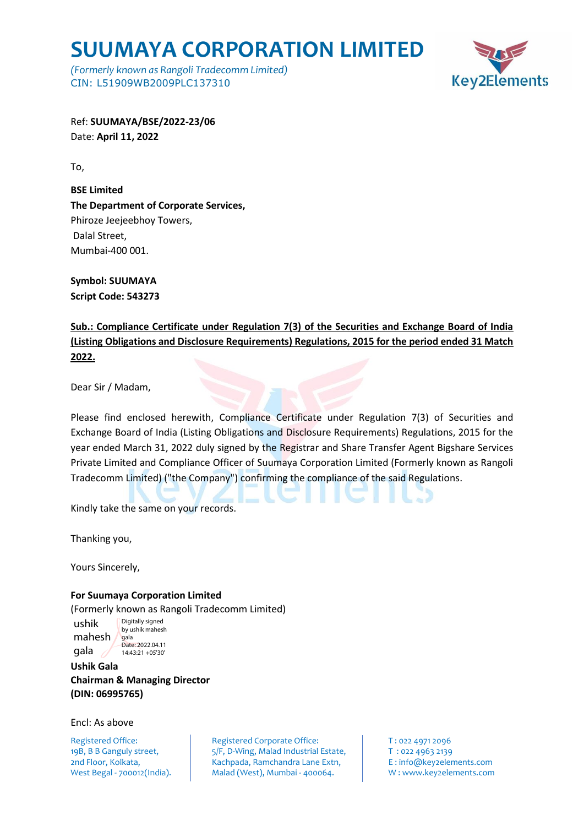## **SUUMAYA CORPORATION LIMITED**

*(Formerly known as Rangoli Tradecomm Limited)* CIN: L51909WB2009PLC137310



Ref: **SUUMAYA/BSE/2022-23/06** Date: **April 11, 2022**

To,

**BSE Limited The Department of Corporate Services,**  Phiroze Jeejeebhoy Towers, Dalal Street, Mumbai-400 001.

**Symbol: SUUMAYA Script Code: 543273**

**Sub.: Compliance Certificate under Regulation 7(3) of the Securities and Exchange Board of India (Listing Obligations and Disclosure Requirements) Regulations, 2015 for the period ended 31 Match 2022.**

Dear Sir / Madam,

Please find enclosed herewith, Compliance Certificate under Regulation 7(3) of Securities and Exchange Board of India (Listing Obligations and Disclosure Requirements) Regulations, 2015 for the year ended March 31, 2022 duly signed by the Registrar and Share Transfer Agent Bigshare Services Private Limited and Compliance Officer of Suumaya Corporation Limited (Formerly known as Rangoli Tradecomm Limited) ("the Company") confirming the compliance of the said Regulations.

Kindly take the same on your records.

Thanking you,

Yours Sincerely,

ushik

gala

**For Suumaya Corporation Limited**

(Formerly known as Rangoli Tradecomm Limited)

mahesh Digitally signed by ushik mahesh gala Date: 2022.04.11 14:43:21 +05'30'

**Ushik Gala Chairman & Managing Director (DIN: 06995765)**

Encl: As above

Registered Office: Registered Corporate Office: T: 022 4971 2096 19B, B B Ganguly street,  $\overline{5/5}$ , D-Wing, Malad Industrial Estate, T : 022 4963 2139 2nd Floor, Kolkata, Kachpada, Ramchandra Lane Extn, E: info@key2elements.com West Begal - 700012(India). Malad (West), Mumbai - 400064. W: www.key2elements.com